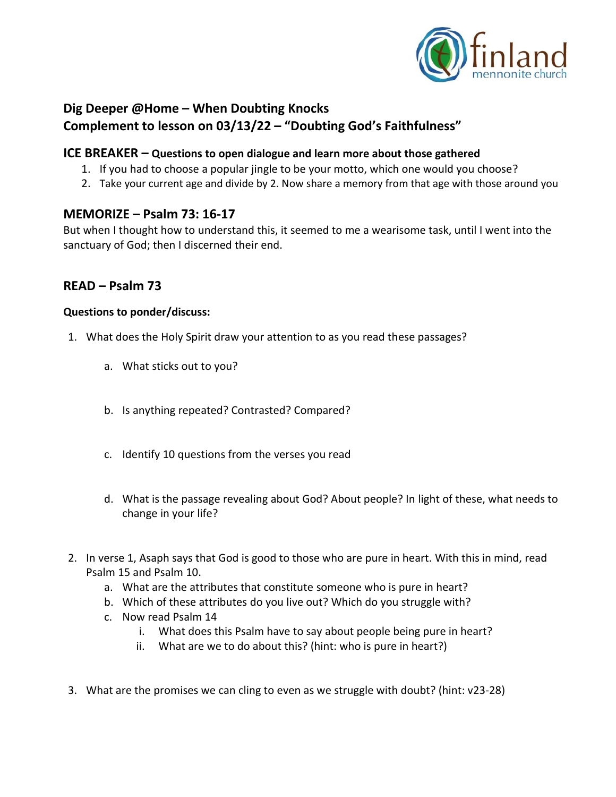

# **Dig Deeper @Home – When Doubting Knocks Complement to lesson on 03/13/22 – "Doubting God's Faithfulness"**

### **ICE BREAKER – Questions to open dialogue and learn more about those gathered**

- 1. If you had to choose a popular jingle to be your motto, which one would you choose?
- 2. Take your current age and divide by 2. Now share a memory from that age with those around you

## **MEMORIZE – Psalm 73: 16-17**

But when I thought how to understand this, it seemed to me a wearisome task, until I went into the sanctuary of God; then I discerned their end.

## **READ – Psalm 73**

#### **Questions to ponder/discuss:**

- 1. What does the Holy Spirit draw your attention to as you read these passages?
	- a. What sticks out to you?
	- b. Is anything repeated? Contrasted? Compared?
	- c. Identify 10 questions from the verses you read
	- d. What is the passage revealing about God? About people? In light of these, what needs to change in your life?
- 2. In verse 1, Asaph says that God is good to those who are pure in heart. With this in mind, read Psalm 15 and Psalm 10.
	- a. What are the attributes that constitute someone who is pure in heart?
	- b. Which of these attributes do you live out? Which do you struggle with?
	- c. Now read Psalm 14
		- i. What does this Psalm have to say about people being pure in heart?
		- ii. What are we to do about this? (hint: who is pure in heart?)
- 3. What are the promises we can cling to even as we struggle with doubt? (hint: v23-28)